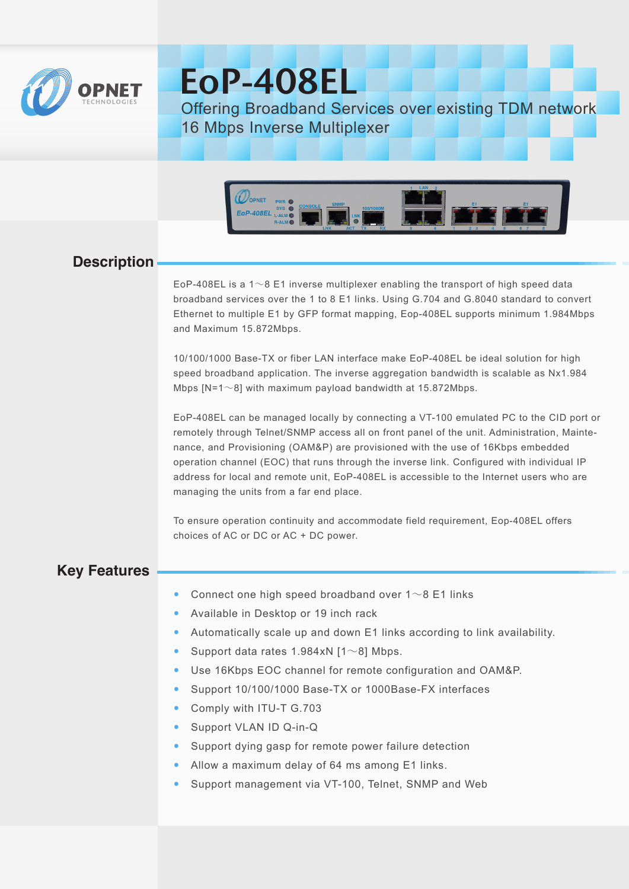

# EoP-408EL

Offering Broadband Services over existing TDM network 16 Mbps Inverse Multiplexer



## **Description**

EoP-408EL is a 1∼8 E1 inverse multiplexer enabling the transport of high speed data broadband services over the 1 to 8 E1 links. Using G.704 and G.8040 standard to convert Ethernet to multiple E1 by GFP format mapping, Eop-408EL supports minimum 1.984Mbps and Maximum 15.872Mbps.

10/100/1000 Base-TX or fiber LAN interface make EoP-408EL be ideal solution for high speed broadband application. The inverse aggregation bandwidth is scalable as Nx1.984 Mbps [N=1∼8] with maximum payload bandwidth at 15.872Mbps.

EoP-408EL can be managed locally by connecting a VT-100 emulated PC to the CID port or remotely through Telnet/SNMP access all on front panel of the unit. Administration, Maintenance, and Provisioning (OAM&P) are provisioned with the use of 16Kbps embedded operation channel (EOC) that runs through the inverse link. Configured with individual IP address for local and remote unit, EoP-408EL is accessible to the Internet users who are managing the units from a far end place.

To ensure operation continuity and accommodate field requirement, Eop-408EL offers choices of AC or DC or AC + DC power.

## **Key Features**

- Connect one high speed broadband over 1∼8 E1 links
- Available in Desktop or 19 inch rack
- Automatically scale up and down E1 links according to link availability.
- Support data rates 1.984xN [1∼8] Mbps.
- Use 16Kbps EOC channel for remote configuration and OAM&P.
- Support 10/100/1000 Base-TX or 1000Base-FX interfaces
- Comply with ITU-T G.703
- Support VLAN ID Q-in-Q
- Support dying gasp for remote power failure detection
- Allow a maximum delay of 64 ms among E1 links.
- Support management via VT-100, Telnet, SNMP and Web